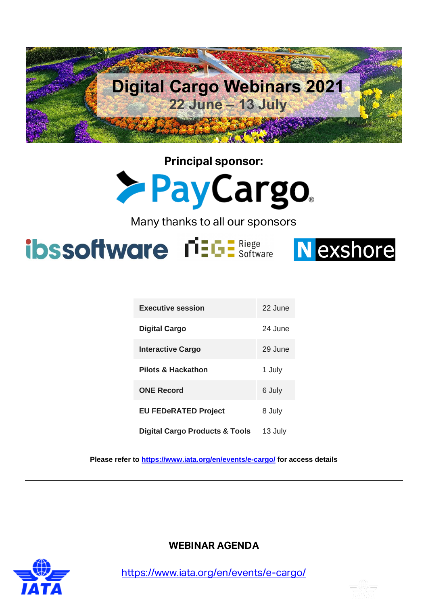

**Principal sponsor: >PayCargo** 

Many thanks to all our sponsors

ibssoftware riels E Riege Nexshore



| <b>Executive session</b>       | 22 June |
|--------------------------------|---------|
| Digital Cargo                  | 24 June |
| Interactive Cargo              | 29 June |
| <b>Pilots &amp; Hackathon</b>  | 1 July  |
| <b>ONE Record</b>              | 6 July  |
| <b>EU FEDeRATED Project</b>    | 8 July  |
| Digital Cargo Products & Tools | 13 July |

**Please refer to<https://www.iata.org/en/events/e-cargo/> for access details**



**WEBINAR AGENDA**

<https://www.iata.org/en/events/e-cargo/>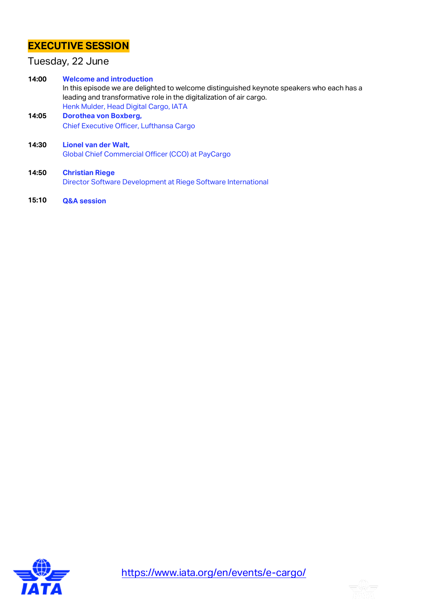# **EXECUTIVE SESSION**

### Tuesday, 22 June

**14:00 Welcome and introduction** In this episode we are delighted to welcome distinguished keynote speakers who each has a leading and transformative role in the digitalization of air cargo. Henk Mulder, Head Digital Cargo, IATA **14:05 Dorothea von Boxberg,**

Chief Executive Officer, Lufthansa Cargo

**14:30 Lionel van der Walt,** Global Chief Commercial Officer (CCO) at PayCargo

- **14:50 Christian Riege** Director Software Development at Riege Software International
- **15:10 Q&A session**



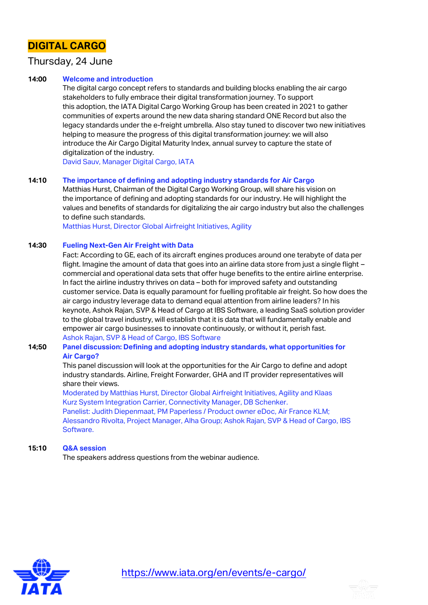# **DIGITAL CARGO**

### Thursday, 24 June

### **14:00 Welcome and introduction**

The digital cargo concept refers to standards and building blocks enabling the air cargo stakeholders to fully embrace their digital transformation journey. To support this adoption, the IATA Digital Cargo Working Group has been created in 2021 to gather communities of experts around the new data sharing standard ONE Record but also the legacy standards under the e-freight umbrella. Also stay tuned to discover two new initiatives helping to measure the progress of this digital transformation journey: we will also introduce the Air Cargo Digital Maturity Index, annual survey to capture the state of digitalization of the industry.

David Sauv, Manager Digital Cargo, IATA

#### **14:10 The importance of defining and adopting industry standards for Air Cargo**

Matthias Hurst, Chairman of the Digital Cargo Working Group, will share his vision on the importance of defining and adopting standards for our industry. He will highlight the values and benefits of standards for digitalizing the air cargo industry but also the challenges to define such standards.

Matthias Hurst, Director Global Airfreight Initiatives, Agility

#### **14:30 Fueling Next-Gen Air Freight with Data**

Fact: According to GE, each of its aircraft engines produces around one terabyte of data per flight. Imagine the amount of data that goes into an airline data store from just a single flight – commercial and operational data sets that offer huge benefits to the entire airline enterprise. In fact the airline industry thrives on data – both for improved safety and outstanding customer service. Data is equally paramount for fuelling profitable air freight. So how does the air cargo industry leverage data to demand equal attention from airline leaders? In his keynote, Ashok Rajan, SVP & Head of Cargo at IBS Software, a leading SaaS solution provider to the global travel industry, will establish that it is data that will fundamentally enable and empower air cargo businesses to innovate continuously, or without it, perish fast. Ashok Rajan, SVP & Head of Cargo, IBS Software

### **14;50 Panel discussion: Defining and adopting industry standards, what opportunities for Air Cargo?**

This panel discussion will look at the opportunities for the Air Cargo to define and adopt industry standards. Airline, Freight Forwarder, GHA and IT provider representatives will share their views.

Moderated by Matthias Hurst, Director Global Airfreight Initiatives, Agility and Klaas Kurz System Integration Carrier, Connectivity Manager, DB Schenker. Panelist: Judith Diepenmaat, PM Paperless / Product owner eDoc, Air France KLM; Alessandro Rivolta, Project Manager, Alha Group; Ashok Rajan, SVP & Head of Cargo, IBS Software.

### **15:10 Q&A session**

The speakers address questions from the webinar audience.



<https://www.iata.org/en/events/e-cargo/>

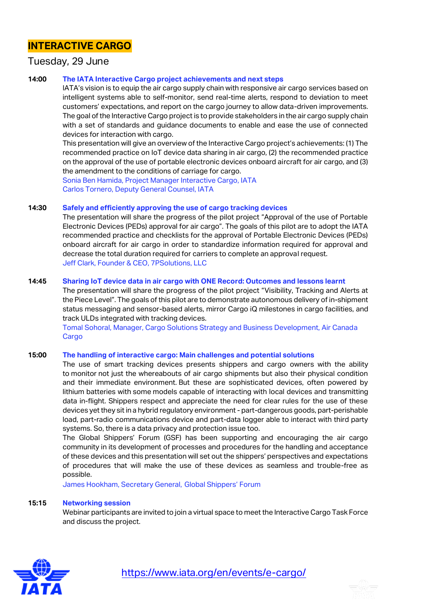## **INTERACTIVE CARGO**

### Tuesday, 29 June

### **14:00 The IATA Interactive Cargo project achievements and next steps**

IATA's vision is to equip the air cargo supply chain with responsive air cargo services based on intelligent systems able to self-monitor, send real-time alerts, respond to deviation to meet customers' expectations, and report on the cargo journey to allow data-driven improvements. The goal of the Interactive Cargo project is to provide stakeholders in the air cargo supply chain with a set of standards and guidance documents to enable and ease the use of connected devices for interaction with cargo.

This presentation will give an overview of the Interactive Cargo project's achievements: (1) The recommended practice on IoT device data sharing in air cargo, (2) the recommended practice on the approval of the use of portable electronic devices onboard aircraft for air cargo, and (3) the amendment to the conditions of carriage for cargo.

Sonia Ben Hamida, Project Manager Interactive Cargo, IATA Carlos Tornero, Deputy General Counsel, IATA

#### **14:30 Safely and efficiently approving the use of cargo tracking devices**

The presentation will share the progress of the pilot project "Approval of the use of Portable Electronic Devices (PEDs) approval for air cargo". The goals of this pilot are to adopt the IATA recommended practice and checklists for the approval of Portable Electronic Devices (PEDs) onboard aircraft for air cargo in order to standardize information required for approval and decrease the total duration required for carriers to complete an approval request. Jeff Clark, Founder & CEO, 7PSolutions, LLC

#### **14:45 Sharing IoT device data in air cargo with ONE Record: Outcomes and lessons learnt**

The presentation will share the progress of the pilot project "Visibility, Tracking and Alerts at the Piece Level". The goals of this pilot are to demonstrate autonomous delivery of in-shipment status messaging and sensor-based alerts, mirror Cargo iQ milestones in cargo facilities, and track ULDs integrated with tracking devices.

Tomal Sohoral, Manager, Cargo Solutions Strategy and Business Development, Air Canada Cargo

### **15:00 The handling of interactive cargo: Main challenges and potential solutions**

The use of smart tracking devices presents shippers and cargo owners with the ability to monitor not just the whereabouts of air cargo shipments but also their physical condition and their immediate environment. But these are sophisticated devices, often powered by lithium batteries with some models capable of interacting with local devices and transmitting data in-flight. Shippers respect and appreciate the need for clear rules for the use of these devices yet they sit in a hybrid regulatory environment - part-dangerous goods, part-perishable load, part-radio communications device and part-data logger able to interact with third party systems. So, there is a data privacy and protection issue too.

The Global Shippers' Forum (GSF) has been supporting and encouraging the air cargo community in its development of processes and procedures for the handling and acceptance of these devices and this presentation will set out the shippers' perspectives and expectations of procedures that will make the use of these devices as seamless and trouble-free as possible.

James Hookham, Secretary General, Global Shippers' Forum

#### **15:15 Networking session**

Webinar participants are invited to join a virtual space to meet the Interactive Cargo Task Force and discuss the project.



<https://www.iata.org/en/events/e-cargo/>

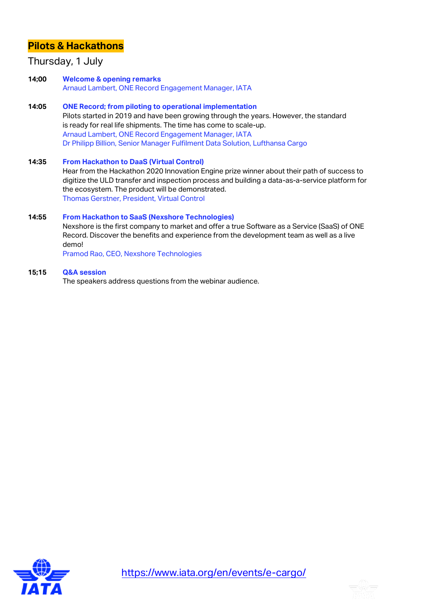## **Pilots & Hackathons**

### Thursday, 1 July

- **14;00 Welcome & opening remarks** Arnaud Lambert, ONE Record Engagement Manager, IATA
- **14:05 ONE Record; from piloting to operational implementation** Pilots started in 2019 and have been growing through the years. However, the standard is ready for real life shipments. The time has come to scale-up. Arnaud Lambert, ONE Record Engagement Manager, IATA Dr Philipp Billion, Senior Manager Fulfilment Data Solution, Lufthansa Cargo
- **14:35 From Hackathon to DaaS (Virtual Control)** Hear from the Hackathon 2020 Innovation Engine prize winner about their path of success to digitize the ULD transfer and inspection process and building a data-as-a-service platform for the ecosystem. The product will be demonstrated. Thomas Gerstner, President, Virtual Control

### **14:55 From Hackathon to SaaS (Nexshore Technologies)**

Nexshore is the first company to market and offer a true Software as a Service (SaaS) of ONE Record. Discover the benefits and experience from the development team as well as a live demo!

Pramod Rao, CEO, Nexshore Technologies

### **15;15 Q&A session**

The speakers address questions from the webinar audience.



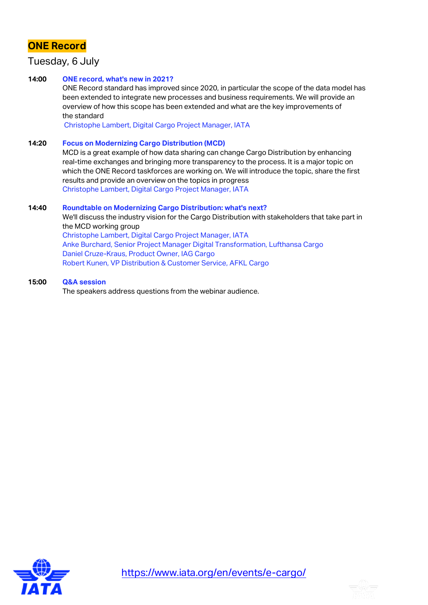# **ONE Record**

### Tuesday, 6 July

### **14:00 ONE record, what's new in 2021?**

ONE Record standard has improved since 2020, in particular the scope of the data model has been extended to integrate new processes and business requirements. We will provide an overview of how this scope has been extended and what are the key improvements of the standard

Christophe Lambert, Digital Cargo Project Manager, IATA

### **14:20 Focus on Modernizing Cargo Distribution (MCD)**

MCD is a great example of how data sharing can change Cargo Distribution by enhancing real-time exchanges and bringing more transparency to the process. It is a major topic on which the ONE Record taskforces are working on. We will introduce the topic, share the first results and provide an overview on the topics in progress Christophe Lambert, Digital Cargo Project Manager, IATA

### **14:40 Roundtable on Modernizing Cargo Distribution: what's next?**

We'll discuss the industry vision for the Cargo Distribution with stakeholders that take part in the MCD working group Christophe Lambert, Digital Cargo Project Manager, IATA Anke Burchard, Senior Project Manager Digital Transformation, Lufthansa Cargo Daniel Cruze-Kraus, Product Owner, IAG Cargo Robert Kunen, VP Distribution & Customer Service, AFKL Cargo

### **15:00 Q&A session**

The speakers address questions from the webinar audience.



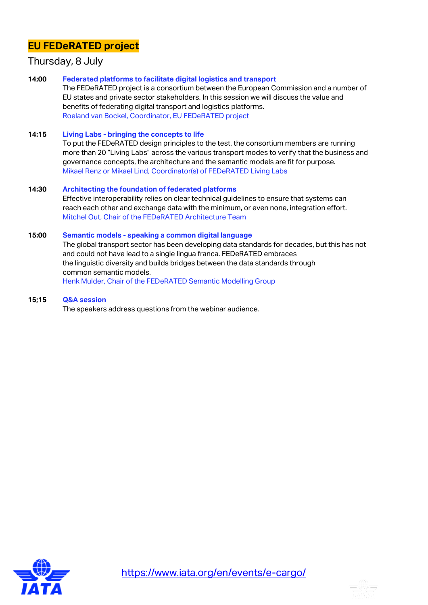# **EU FEDeRATED project**

### Thursday, 8 July

**14;00 Federated platforms to facilitate digital logistics and transport**

The FEDeRATED project is a consortium between the European Commission and a number of EU states and private sector stakeholders. In this session we will discuss the value and benefits of federating digital transport and logistics platforms. Roeland van Bockel, Coordinator, EU FEDeRATED project

**14:15 Living Labs - bringing the concepts to life**

To put the FEDeRATED design principles to the test, the consortium members are running more than 20 "Living Labs" across the various transport modes to verify that the business and governance concepts, the architecture and the semantic models are fit for purpose. Mikael Renz or Mikael Lind, Coordinator(s) of FEDeRATED Living Labs

### **14:30 Architecting the foundation of federated platforms** Effective interoperability relies on clear technical guidelines to ensure that systems can reach each other and exchange data with the minimum, or even none, integration effort. Mitchel Out, Chair of the FEDeRATED Architecture Team

### **15:00 Semantic models - speaking a common digital language**

The global transport sector has been developing data standards for decades, but this has not and could not have lead to a single lingua franca. FEDeRATED embraces the linguistic diversity and builds bridges between the data standards through common semantic models. Henk Mulder, Chair of the FEDeRATED Semantic Modelling Group

**15;15 Q&A session**

The speakers address questions from the webinar audience.